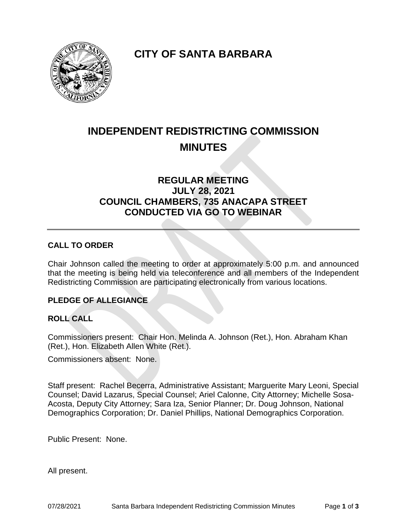

**CITY OF SANTA BARBARA**

# **INDEPENDENT REDISTRICTING COMMISSION MINUTES**

# **REGULAR MEETING JULY 28, 2021 COUNCIL CHAMBERS, 735 ANACAPA STREET CONDUCTED VIA GO TO WEBINAR**

## **CALL TO ORDER**

Chair Johnson called the meeting to order at approximately 5:00 p.m. and announced that the meeting is being held via teleconference and all members of the Independent Redistricting Commission are participating electronically from various locations.

#### **PLEDGE OF ALLEGIANCE**

#### **ROLL CALL**

Commissioners present: Chair Hon. Melinda A. Johnson (Ret.), Hon. Abraham Khan (Ret.), Hon. Elizabeth Allen White (Ret.).

Commissioners absent: None.

Staff present: Rachel Becerra, Administrative Assistant; Marguerite Mary Leoni, Special Counsel; David Lazarus, Special Counsel; Ariel Calonne, City Attorney; Michelle Sosa-Acosta, Deputy City Attorney; Sara Iza, Senior Planner; Dr. Doug Johnson, National Demographics Corporation; Dr. Daniel Phillips, National Demographics Corporation.

Public Present: None.

All present.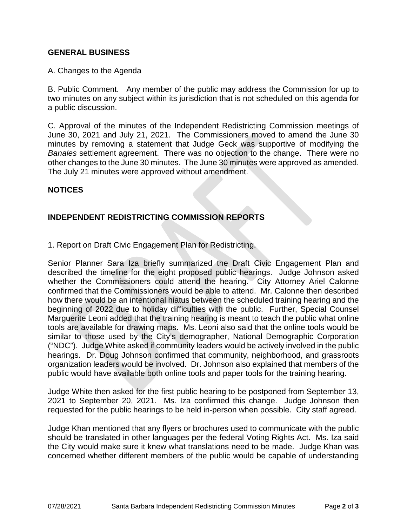#### **GENERAL BUSINESS**

#### A. Changes to the Agenda

B. Public Comment. Any member of the public may address the Commission for up to two minutes on any subject within its jurisdiction that is not scheduled on this agenda for a public discussion.

C. Approval of the minutes of the Independent Redistricting Commission meetings of June 30, 2021 and July 21, 2021. The Commissioners moved to amend the June 30 minutes by removing a statement that Judge Geck was supportive of modifying the *Banales* settlement agreement. There was no objection to the change. There were no other changes to the June 30 minutes. The June 30 minutes were approved as amended. The July 21 minutes were approved without amendment.

#### **NOTICES**

### **INDEPENDENT REDISTRICTING COMMISSION REPORTS**

1. Report on Draft Civic Engagement Plan for Redistricting.

Senior Planner Sara Iza briefly summarized the Draft Civic Engagement Plan and described the timeline for the eight proposed public hearings. Judge Johnson asked whether the Commissioners could attend the hearing. City Attorney Ariel Calonne confirmed that the Commissioners would be able to attend. Mr. Calonne then described how there would be an intentional hiatus between the scheduled training hearing and the beginning of 2022 due to holiday difficulties with the public. Further, Special Counsel Marguerite Leoni added that the training hearing is meant to teach the public what online tools are available for drawing maps. Ms. Leoni also said that the online tools would be similar to those used by the City's demographer, National Demographic Corporation ("NDC"). Judge White asked if community leaders would be actively involved in the public hearings. Dr. Doug Johnson confirmed that community, neighborhood, and grassroots organization leaders would be involved. Dr. Johnson also explained that members of the public would have available both online tools and paper tools for the training hearing.

Judge White then asked for the first public hearing to be postponed from September 13, 2021 to September 20, 2021. Ms. Iza confirmed this change. Judge Johnson then requested for the public hearings to be held in-person when possible. City staff agreed.

Judge Khan mentioned that any flyers or brochures used to communicate with the public should be translated in other languages per the federal Voting Rights Act. Ms. Iza said the City would make sure it knew what translations need to be made. Judge Khan was concerned whether different members of the public would be capable of understanding